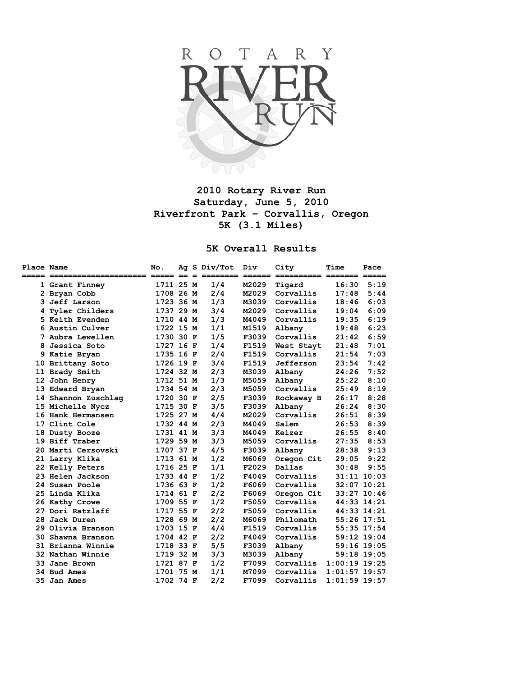

## **2010 Rotary River Run Saturday, June 5, 2010 Riverfront Park – Corvallis, Oregon 5K (3.1 Miles)**

## **5K Overall Results**

| Place Name |                           | No.       |  | Ag S Div/Tot | Div   | City       | Time            | Pace                |
|------------|---------------------------|-----------|--|--------------|-------|------------|-----------------|---------------------|
|            | ===== ======<br>========= |           |  | ====         |       |            | ======= ======= | $=$ $=$ $=$ $=$ $=$ |
|            | 1 Grant Finney            | 1711 25 M |  | 1/4          | M2029 | Tigard     | 16:30           | 5:19                |
|            | 2 Bryan Cobb              | 1708 26 M |  | 2/4          | M2029 | Corvallis  | 17:48           | 5:44                |
| 3.         | Jeff Larson               | 1723 36 M |  | 1/3          | M3039 | Corvallis  | 18:46           | 6:03                |
| 4          | Tyler Childers            | 1737 29 M |  | 3/4          | M2029 | Corvallis  | 19:04           | 6:09                |
|            | 5 Keith Evenden           | 1710 44 M |  | 1/3          | M4049 | Corvallis  | 19:35           | 6:19                |
| 6          | Austin Culver             | 1722 15 M |  | 1/1          | M1519 | Albany     | 19:48           | 6:23                |
|            | 7 Aubra Lewellen          | 1730 30 F |  | 1/5          | F3039 | Corvallis  | 21:42           | 6:59                |
| 8          | Jessica Soto              | 1727 16 F |  | 1/4          | F1519 | West Stayt | 21:48           | 7:01                |
|            | 9 Katie Bryan             | 1735 16 F |  | 2/4          | F1519 | Corvallis  | 21:54           | 7:03                |
|            | 10 Brittany Soto          | 1726 19 F |  | 3/4          | F1519 | Jefferson  | 23:54           | 7:42                |
|            | 11 Brady Smith            | 1724 32 M |  | 2/3          | M3039 | Albany     | 24:26           | 7:52                |
|            | 12 John Henry             | 1712 51 M |  | 1/3          | M5059 | Albany     | 25:22           | 8:10                |
|            | 13 Edward Bryan           | 1734 54 M |  | 2/3          | M5059 | Corvallis  | 25:49           | 8:19                |
|            | 14 Shannon Zuschlag       | 1720 30 F |  | 2/5          | F3039 | Rockaway B | 26:17           | 8:28                |
|            | 15 Michelle Nycz          | 1715 30 F |  | 3/5          | F3039 | Albany     | 26:24           | 8:30                |
|            | 16 Hank Hermansen         | 1725 27 M |  | 4/4          | M2029 | Corvallis  | 26:51           | 8:39                |
|            | 17 Clint Cole             | 1732 44 M |  | 2/3          | M4049 | Salem      | 26:53           | 8:39                |
|            | 18 Dusty Booze            | 1731 41 M |  | 3/3          | M4049 | Keizer     | 26:55           | 8:40                |
|            | 19 Biff Traber            | 1729 59 M |  | 3/3          | M5059 | Corvallis  | 27:35           | 8:53                |
|            | 20 Marti Cersovski        | 1707 37 F |  | 4/5          | F3039 | Albany     | 28:38           | 9:13                |
|            | 21 Larry Klika            | 1713 61 M |  | 1/2          | M6069 | Oregon Cit | 29:05           | 9:22                |
|            | 22 Kelly Peters           | 1716 25 F |  | 1/1          | F2029 | Dallas     | 30:48           | 9:55                |
|            | 23 Helen Jackson          | 1733 44 F |  | 1/2          | F4049 | Corvallis  |                 | $31:11$ $10:03$     |
|            | 24 Susan Poole            | 1736 63 F |  | 1/2          | F6069 | Corvallis  |                 | 32:07 10:21         |
|            | 25 Linda Klika            | 1714 61 F |  | 2/2          | F6069 | Oregon Cit |                 | 33:27 10:46         |
|            | 26 Kathy Crowe            | 1709 55 F |  | 1/2          | F5059 | Corvallis  |                 | 44:33 14:21         |
|            | 27 Dori Ratzlaff          | 1717 55 F |  | 2/2          | F5059 | Corvallis  |                 | 44:33 14:21         |
|            | 28 Jack Duren             | 1728 69 M |  | 2/2          | M6069 | Philomath  |                 | 55:26 17:51         |
|            | 29 Olivia Branson         | 1703 15 F |  | 4/4          | F1519 | Corvallis  |                 | 55:35 17:54         |
| 30.        | Shawna Branson            | 1704 42 F |  | 2/2          | F4049 | Corvallis  |                 | 59:12 19:04         |
|            | 31 Brianna Winnie         | 1718 33 F |  | 5/5          | F3039 | Albany     |                 | $59:16$ 19:05       |
|            | 32 Nathan Winnie          | 1719 32 M |  | 3/3          | M3039 | Albany     |                 | 59:18 19:05         |
|            | 33 Jane Brown             | 1721 87 F |  | 1/2          | F7099 | Corvallis  | $1:00:19$ 19:25 |                     |
|            | 34 Bud Ames               | 1701 75 M |  | 1/1          | M7099 | Corvallis  | $1:01:57$ 19:57 |                     |
|            | <b>35 Jan Ames</b>        | 1702 74 F |  | 2/2          | F7099 | Corvallis  | $1:01:59$ 19:57 |                     |